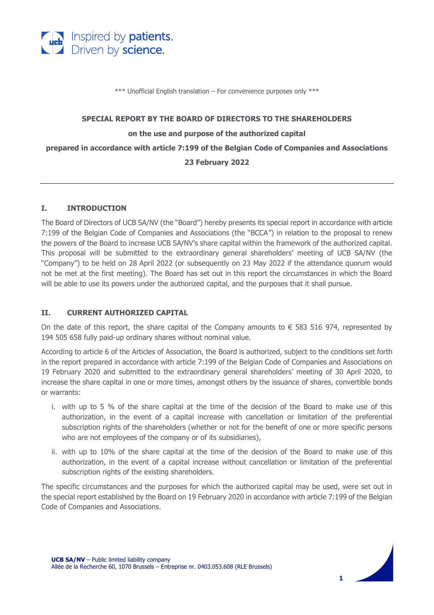

\*\*\* Unofficial English translation – For convenience purposes only \*\*\*

#### **SPECIAL REPORT BY THE BOARD OF DIRECTORS TO THE SHAREHOLDERS**

#### **on the use and purpose of the authorized capital**

**prepared in accordance with article 7:199 of the Belgian Code of Companies and Associations**

### **23 February 2022**

### **I. INTRODUCTION**

The Board of Directors of UCB SA/NV (the "Board") hereby presents its special report in accordance with article 7:199 of the Belgian Code of Companies and Associations (the "BCCA") in relation to the proposal to renew the powers of the Board to increase UCB SA/NV's share capital within the framework of the authorized capital. This proposal will be submitted to the extraordinary general shareholders' meeting of UCB SA/NV (the "Company") to be held on 28 April 2022 (or subsequently on 23 May 2022 if the attendance quorum would not be met at the first meeting). The Board has set out in this report the circumstances in which the Board will be able to use its powers under the authorized capital, and the purposes that it shall pursue.

## **II. CURRENT AUTHORIZED CAPITAL**

On the date of this report, the share capital of the Company amounts to  $\epsilon$  583 516 974, represented by 194 505 658 fully paid-up ordinary shares without nominal value.

According to article 6 of the Articles of Association, the Board is authorized, subject to the conditions set forth in the report prepared in accordance with article 7:199 of the Belgian Code of Companies and Associations on 19 February 2020 and submitted to the extraordinary general shareholders' meeting of 30 April 2020, to increase the share capital in one or more times, amongst others by the issuance of shares, convertible bonds or warrants:

- i. with up to 5 % of the share capital at the time of the decision of the Board to make use of this authorization, in the event of a capital increase with cancellation or limitation of the preferential subscription rights of the shareholders (whether or not for the benefit of one or more specific persons who are not employees of the company or of its subsidiaries),
- ii. with up to 10% of the share capital at the time of the decision of the Board to make use of this authorization, in the event of a capital increase without cancellation or limitation of the preferential subscription rights of the existing shareholders.

The specific circumstances and the purposes for which the authorized capital may be used, were set out in the special report established by the Board on 19 February 2020 in accordance with article 7:199 of the Belgian Code of Companies and Associations.

**1**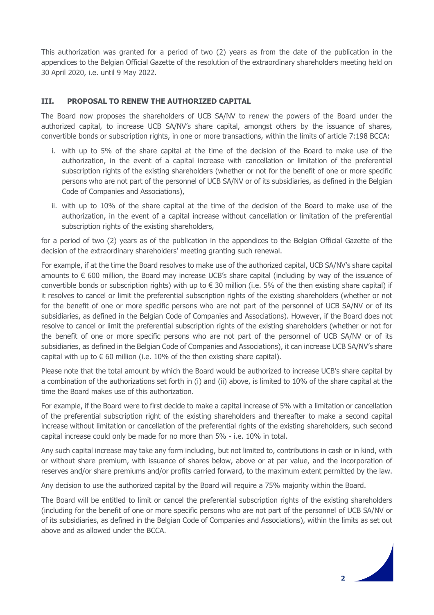This authorization was granted for a period of two (2) years as from the date of the publication in the appendices to the Belgian Official Gazette of the resolution of the extraordinary shareholders meeting held on 30 April 2020, i.e. until 9 May 2022.

### **III. PROPOSAL TO RENEW THE AUTHORIZED CAPITAL**

The Board now proposes the shareholders of UCB SA/NV to renew the powers of the Board under the authorized capital, to increase UCB SA/NV's share capital, amongst others by the issuance of shares, convertible bonds or subscription rights, in one or more transactions, within the limits of article 7:198 BCCA:

- i. with up to 5% of the share capital at the time of the decision of the Board to make use of the authorization, in the event of a capital increase with cancellation or limitation of the preferential subscription rights of the existing shareholders (whether or not for the benefit of one or more specific persons who are not part of the personnel of UCB SA/NV or of its subsidiaries, as defined in the Belgian Code of Companies and Associations),
- ii. with up to 10% of the share capital at the time of the decision of the Board to make use of the authorization, in the event of a capital increase without cancellation or limitation of the preferential subscription rights of the existing shareholders,

for a period of two (2) years as of the publication in the appendices to the Belgian Official Gazette of the decision of the extraordinary shareholders' meeting granting such renewal.

For example, if at the time the Board resolves to make use of the authorized capital, UCB SA/NV's share capital amounts to € 600 million, the Board may increase UCB's share capital (including by way of the issuance of convertible bonds or subscription rights) with up to  $\epsilon$  30 million (i.e. 5% of the then existing share capital) if it resolves to cancel or limit the preferential subscription rights of the existing shareholders (whether or not for the benefit of one or more specific persons who are not part of the personnel of UCB SA/NV or of its subsidiaries, as defined in the Belgian Code of Companies and Associations). However, if the Board does not resolve to cancel or limit the preferential subscription rights of the existing shareholders (whether or not for the benefit of one or more specific persons who are not part of the personnel of UCB SA/NV or of its subsidiaries, as defined in the Belgian Code of Companies and Associations), it can increase UCB SA/NV's share capital with up to  $\epsilon$  60 million (i.e. 10% of the then existing share capital).

Please note that the total amount by which the Board would be authorized to increase UCB's share capital by a combination of the authorizations set forth in (i) and (ii) above, is limited to 10% of the share capital at the time the Board makes use of this authorization.

For example, if the Board were to first decide to make a capital increase of 5% with a limitation or cancellation of the preferential subscription right of the existing shareholders and thereafter to make a second capital increase without limitation or cancellation of the preferential rights of the existing shareholders, such second capital increase could only be made for no more than 5% - i.e. 10% in total.

Any such capital increase may take any form including, but not limited to, contributions in cash or in kind, with or without share premium, with issuance of shares below, above or at par value, and the incorporation of reserves and/or share premiums and/or profits carried forward, to the maximum extent permitted by the law.

Any decision to use the authorized capital by the Board will require a 75% majority within the Board.

The Board will be entitled to limit or cancel the preferential subscription rights of the existing shareholders (including for the benefit of one or more specific persons who are not part of the personnel of UCB SA/NV or of its subsidiaries, as defined in the Belgian Code of Companies and Associations), within the limits as set out above and as allowed under the BCCA.

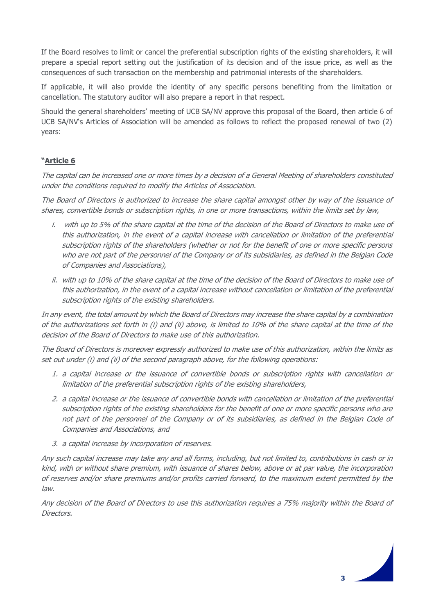If the Board resolves to limit or cancel the preferential subscription rights of the existing shareholders, it will prepare a special report setting out the justification of its decision and of the issue price, as well as the consequences of such transaction on the membership and patrimonial interests of the shareholders.

If applicable, it will also provide the identity of any specific persons benefiting from the limitation or cancellation. The statutory auditor will also prepare a report in that respect.

Should the general shareholders' meeting of UCB SA/NV approve this proposal of the Board, then article 6 of UCB SA/NV's Articles of Association will be amended as follows to reflect the proposed renewal of two (2) years:

# **"Article 6**

The capital can be increased one or more times by a decision of a General Meeting of shareholders constituted under the conditions required to modify the Articles of Association.

The Board of Directors is authorized to increase the share capital amongst other by way of the issuance of shares, convertible bonds or subscription rights, in one or more transactions, within the limits set by law,

- i. with up to 5% of the share capital at the time of the decision of the Board of Directors to make use of this authorization, in the event of a capital increase with cancellation or limitation of the preferential subscription rights of the shareholders (whether or not for the benefit of one or more specific persons who are not part of the personnel of the Company or of its subsidiaries, as defined in the Belgian Code of Companies and Associations),
- ii. with up to 10% of the share capital at the time of the decision of the Board of Directors to make use of this authorization, in the event of a capital increase without cancellation or limitation of the preferential subscription rights of the existing shareholders.

In any event, the total amount by which the Board of Directors may increase the share capital by a combination of the authorizations set forth in (i) and (ii) above, is limited to 10% of the share capital at the time of the decision of the Board of Directors to make use of this authorization.

The Board of Directors is moreover expressly authorized to make use of this authorization, within the limits as set out under (i) and (ii) of the second paragraph above, for the following operations:

- 1. a capital increase or the issuance of convertible bonds or subscription rights with cancellation or limitation of the preferential subscription rights of the existing shareholders,
- 2. a capital increase or the issuance of convertible bonds with cancellation or limitation of the preferential subscription rights of the existing shareholders for the benefit of one or more specific persons who are not part of the personnel of the Company or of its subsidiaries, as defined in the Belgian Code of Companies and Associations, and
- 3. a capital increase by incorporation of reserves.

Any such capital increase may take any and all forms, including, but not limited to, contributions in cash or in kind, with or without share premium, with issuance of shares below, above or at par value, the incorporation of reserves and/or share premiums and/or profits carried forward, to the maximum extent permitted by the law.

Any decision of the Board of Directors to use this authorization requires a 75% majority within the Board of Directors.

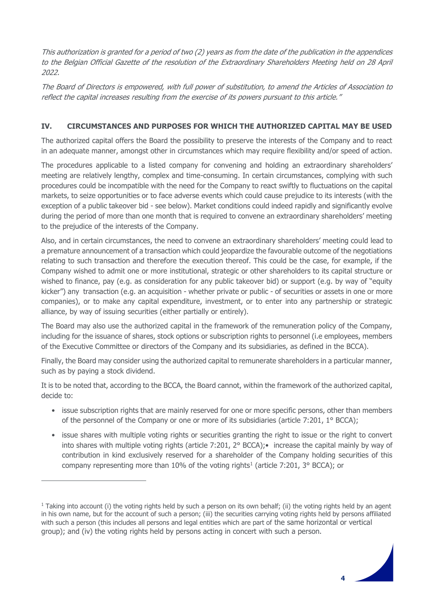This authorization is granted for a period of two (2) years as from the date of the publication in the appendices to the Belgian Official Gazette of the resolution of the Extraordinary Shareholders Meeting held on 28 April 2022.

The Board of Directors is empowered, with full power of substitution, to amend the Articles of Association to reflect the capital increases resulting from the exercise of its powers pursuant to this article."

# **IV. CIRCUMSTANCES AND PURPOSES FOR WHICH THE AUTHORIZED CAPITAL MAY BE USED**

The authorized capital offers the Board the possibility to preserve the interests of the Company and to react in an adequate manner, amongst other in circumstances which may require flexibility and/or speed of action.

The procedures applicable to a listed company for convening and holding an extraordinary shareholders' meeting are relatively lengthy, complex and time-consuming. In certain circumstances, complying with such procedures could be incompatible with the need for the Company to react swiftly to fluctuations on the capital markets, to seize opportunities or to face adverse events which could cause prejudice to its interests (with the exception of a public takeover bid - see below). Market conditions could indeed rapidly and significantly evolve during the period of more than one month that is required to convene an extraordinary shareholders' meeting to the prejudice of the interests of the Company.

Also, and in certain circumstances, the need to convene an extraordinary shareholders' meeting could lead to a premature announcement of a transaction which could jeopardize the favourable outcome of the negotiations relating to such transaction and therefore the execution thereof. This could be the case, for example, if the Company wished to admit one or more institutional, strategic or other shareholders to its capital structure or wished to finance, pay (e.g. as consideration for any public takeover bid) or support (e.g. by way of "equity kicker") any transaction (e.g. an acquisition - whether private or public - of securities or assets in one or more companies), or to make any capital expenditure, investment, or to enter into any partnership or strategic alliance, by way of issuing securities (either partially or entirely).

The Board may also use the authorized capital in the framework of the remuneration policy of the Company, including for the issuance of shares, stock options or subscription rights to personnel (i.e employees, members of the Executive Committee or directors of the Company and its subsidiaries, as defined in the BCCA).

Finally, the Board may consider using the authorized capital to remunerate shareholders in a particular manner, such as by paying a stock dividend.

It is to be noted that, according to the BCCA, the Board cannot, within the framework of the authorized capital, decide to:

- issue subscription rights that are mainly reserved for one or more specific persons, other than members of the personnel of the Company or one or more of its subsidiaries (article 7:201, 1° BCCA);
- issue shares with multiple voting rights or securities granting the right to issue or the right to convert into shares with multiple voting rights (article 7:201, 2° BCCA);• increase the capital mainly by way of contribution in kind exclusively reserved for a shareholder of the Company holding securities of this company representing more than  $10\%$  of the voting rights<sup>1</sup> (article 7:201, 3° BCCA); or

 $1$  Taking into account (i) the voting rights held by such a person on its own behalf; (ii) the voting rights held by an agent in his own name, but for the account of such a person; (iii) the securities carrying voting rights held by persons affiliated with such a person (this includes all persons and legal entities which are part of the same horizontal or vertical group); and (iv) the voting rights held by persons acting in concert with such a person.